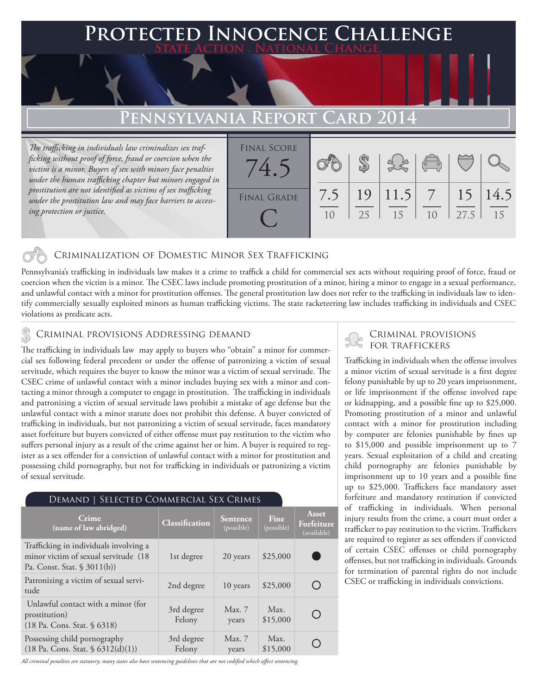### **PTED INNOCENCE CHALLENGE State Action . National Change.**

# **Pennsylvania Report Card 2014**

*The trafficking in individuals law criminalizes sex trafficking without proof of force, fraud or coercion when the victim is a minor. Buyers of sex with minors face penalties under the human trafficking chapter but minors engaged in prostitution are not identified as victims of sex trafficking under the prostitution law and may face barriers to accessing protection or justice.*

| <b>FINAL SCORE</b><br>4 <sup>o</sup> |           |    |                 | $\begin{pmatrix} 1 & 1 \\ 0 & 1 \end{pmatrix}$ |            |            |
|--------------------------------------|-----------|----|-----------------|------------------------------------------------|------------|------------|
| <b>FINAL GRADE</b>                   | 7.5<br>10 | 25 | 19 11.5 7<br>15 | 1 <sub>0</sub>                                 | 15<br>27.5 | 14.5<br>15 |

### Criminalization of Domestic Minor Sex Trafficking

Pennsylvania's trafficking in individuals law makes it a crime to traffick a child for commercial sex acts without requiring proof of force, fraud or coercion when the victim is a minor. The CSEC laws include promoting prostitution of a minor, hiring a minor to engage in a sexual performance, and unlawful contact with a minor for prostitution offenses. The general prostitution law does not refer to the trafficking in individuals law to identify commercially sexually exploited minors as human trafficking victims. The state racketeering law includes trafficking in individuals and CSEC violations as predicate acts.

# CRIMINAL PROVISIONS ADDRESSING DEMAND<br>The trafficking in individuals law, may analy to huyers who "obtain" a minor for commer.

The trafficking in individuals law may apply to buyers who "obtain" a minor for commercial sex following federal precedent or under the offense of patronizing a victim of sexual servitude, which requires the buyer to know the minor was a victim of sexual servitude. The CSEC crime of unlawful contact with a minor includes buying sex with a minor and contacting a minor through a computer to engage in prostitution. The trafficking in individuals and patronizing a victim of sexual servitude laws prohibit a mistake of age defense but the unlawful contact with a minor statute does not prohibit this defense. A buyer convicted of trafficking in individuals, but not patronizing a victim of sexual servitude, faces mandatory asset forfeiture but buyers convicted of either offense must pay restitution to the victim who suffers personal injury as a result of the crime against her or him. A buyer is required to register as a sex offender for a conviction of unlawful contact with a minor for prostitution and possessing child pornography, but not for trafficking in individuals or patronizing a victim of sexual servitude.

#### Demand | Selected Commercial Sex Crimes

| Crime<br>(name of law abridged)                                                                               | Classification       | <b>Sentence</b><br>(possible) | Fine<br>(possible) | Asset<br>Forfeiture<br>(available) |
|---------------------------------------------------------------------------------------------------------------|----------------------|-------------------------------|--------------------|------------------------------------|
| Trafficking in individuals involving a<br>minor victim of sexual servitude (18<br>Pa. Const. Stat. $$3011(b)$ | 1st degree           | 20 years                      | \$25,000           |                                    |
| Patronizing a victim of sexual servi-<br>tude                                                                 | 2nd degree           | 10 years                      | \$25,000           | ()                                 |
| Unlawful contact with a minor (for<br>prostitution)<br>(18 Pa. Cons. Stat. § 6318)                            | 3rd degree<br>Felony | Max.7<br>years                | Max.<br>\$15,000   | ◯                                  |
| Possessing child pornography<br>$(18 \text{ Pa. Cons. Stat. } $6312(d)(1))$                                   | 3rd degree<br>Felony | Max. 7<br>years               | Max.<br>\$15,000   |                                    |

*All criminal penalties are statutory; many states also have sentencing guidelines that are not codified which affect sentencing.* 

Trafficking in individuals when the offense involves a minor victim of sexual servitude is a first degree felony punishable by up to 20 years imprisonment, or life imprisonment if the offense involved rape or kidnapping, and a possible fine up to \$25,000. Promoting prostitution of a minor and unlawful contact with a minor for prostitution including by computer are felonies punishable by fines up to \$15,000 and possible imprisonment up to 7 years. Sexual exploitation of a child and creating child pornography are felonies punishable by imprisonment up to 10 years and a possible fine up to \$25,000. Traffickers face mandatory asset forfeiture and mandatory restitution if convicted of trafficking in individuals. When personal injury results from the crime, a court must order a trafficker to pay restitution to the victim. Traffickers are required to register as sex offenders if convicted of certain CSEC offenses or child pornography offenses, but not trafficking in individuals. Grounds for termination of parental rights do not include CSEC or trafficking in individuals convictions.